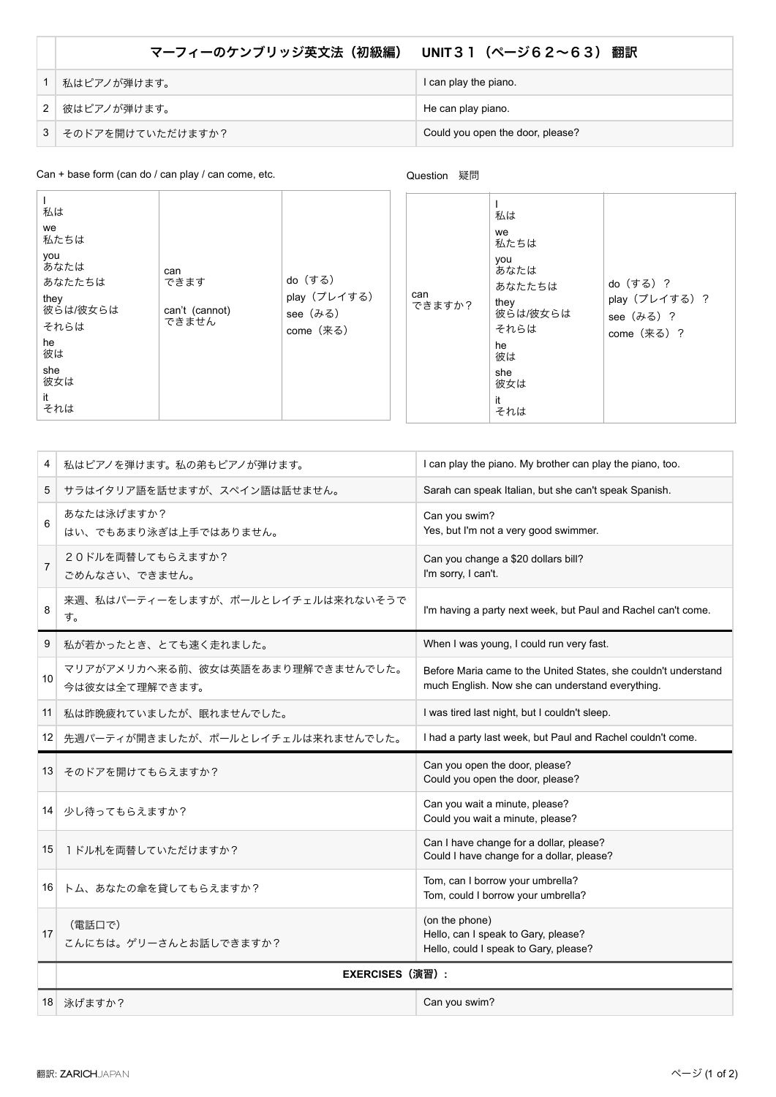| マーフィーのケンブリッジ英文法(初級編) | UNIT31(ページ62〜63) 翻訳              |
|----------------------|----------------------------------|
| 私はピアノが弾けます。          | I can play the piano.            |
| 彼はピアノが弾けます。          | He can play piano.               |
| そのドアを開けていただけますか?     | Could you open the door, please? |

## Can + base form (can do / can play / can come, etc.

Question 疑問

| 私は<br>we<br>私たちは<br>you<br>あなたは<br>あなたたちは<br>they<br>彼らは/彼女らは<br>それらは<br>he<br>彼は<br>she<br>彼女は<br>it<br>それは | can<br>できます<br>can't (cannot)<br>できません | do (する)<br>play (プレイする)<br>see (みる)<br>come (来る) |  | can<br>できますか? | 私は<br>we<br>私たちは<br>you<br>あなたは<br>あなたたちは<br>they<br>彼らは/彼女らは<br>それらは<br>he<br>彼は<br>she<br>彼女は<br>it<br>それは | do (する) ?<br>play (プレイする) ?<br>see (みる) ?<br>come (来る) ? |
|--------------------------------------------------------------------------------------------------------------|----------------------------------------|--------------------------------------------------|--|---------------|--------------------------------------------------------------------------------------------------------------|----------------------------------------------------------|
|--------------------------------------------------------------------------------------------------------------|----------------------------------------|--------------------------------------------------|--|---------------|--------------------------------------------------------------------------------------------------------------|----------------------------------------------------------|

| 4              | 私はピアノを弾けます。私の弟もピアノが弾けます。                            | I can play the piano. My brother can play the piano, too.                                                           |  |  |  |
|----------------|-----------------------------------------------------|---------------------------------------------------------------------------------------------------------------------|--|--|--|
| 5              | サラはイタリア語を話せますが、スペイン語は話せません。                         | Sarah can speak Italian, but she can't speak Spanish.                                                               |  |  |  |
| 6              | あなたは泳げますか?<br>はい、でもあまり泳ぎは上手ではありません。                 | Can you swim?<br>Yes, but I'm not a very good swimmer.                                                              |  |  |  |
| $\overline{7}$ | 20ドルを両替してもらえますか?<br>ごめんなさい、できません。                   | Can you change a \$20 dollars bill?<br>I'm sorry, I can't.                                                          |  |  |  |
| 8              | 来週、私はパーティーをしますが、ポールとレイチェルは来れないそうで<br>す。             | I'm having a party next week, but Paul and Rachel can't come.                                                       |  |  |  |
| 9              | 私が若かったとき、とても速く走れました。                                | When I was young, I could run very fast.                                                                            |  |  |  |
| 10             | マリアがアメリカへ来る前、彼女は英語をあまり理解できませんでした。<br>今は彼女は全て理解できます。 | Before Maria came to the United States, she couldn't understand<br>much English. Now she can understand everything. |  |  |  |
| 11             | 私は昨晩疲れていましたが、眠れませんでした。                              | I was tired last night, but I couldn't sleep.                                                                       |  |  |  |
|                | 12 先週パーティが開きましたが、ポールとレイチェルは来れませんでした。                | I had a party last week, but Paul and Rachel couldn't come.                                                         |  |  |  |
|                | 13 そのドアを開けてもらえますか?                                  | Can you open the door, please?<br>Could you open the door, please?                                                  |  |  |  |
|                | 14 少し待ってもらえますか?                                     | Can you wait a minute, please?<br>Could you wait a minute, please?                                                  |  |  |  |
| 15             | 1ドル札を両替していただけますか?                                   | Can I have change for a dollar, please?<br>Could I have change for a dollar, please?                                |  |  |  |
| 16             | トム、あなたの傘を貸してもらえますか?                                 | Tom, can I borrow your umbrella?<br>Tom, could I borrow your umbrella?                                              |  |  |  |
| 17             | (電話口で)<br>こんにちは。ゲリーさんとお話しできますか?                     | (on the phone)<br>Hello, can I speak to Gary, please?<br>Hello, could I speak to Gary, please?                      |  |  |  |
|                | <b>EXERCISES</b> (演習):                              |                                                                                                                     |  |  |  |
|                | 18 泳げますか?                                           | Can you swim?                                                                                                       |  |  |  |